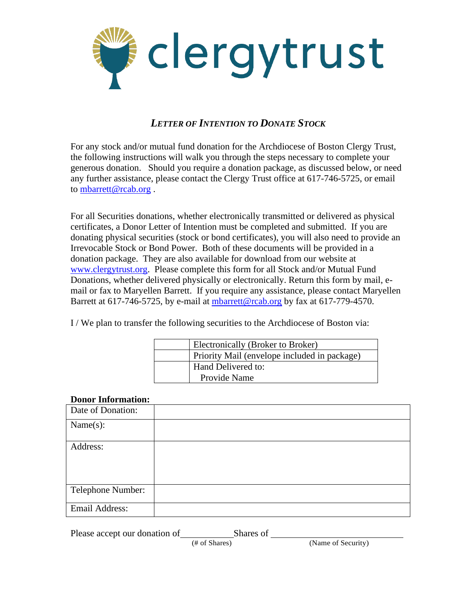

## *LETTER OF INTENTION TO DONATE STOCK*

For any stock and/or mutual fund donation for the Archdiocese of Boston Clergy Trust, the following instructions will walk you through the steps necessary to complete your generous donation. Should you require a donation package, as discussed below, or need any further assistance, please contact the Clergy Trust office at 617-746-5725, or email to [mbarrett@rcab.org](mailto:mbarrett@rcab.org) .

For all Securities donations, whether electronically transmitted or delivered as physical certificates, a Donor Letter of Intention must be completed and submitted. If you are donating physical securities (stock or bond certificates), you will also need to provide an Irrevocable Stock or Bond Power. Both of these documents will be provided in a donation package. They are also available for download from our website at [www.clergytrust.org.](http://www.clergytrust.org/) Please complete this form for all Stock and/or Mutual Fund Donations, whether delivered physically or electronically. Return this form by mail, email or fax to Maryellen Barrett. If you require any assistance, please contact Maryellen Barrett at 617-746-5725, by e-mail at [mbarrett@rcab.org](mailto:mbarrett@rcab.org) by fax at 617-779-4570.

I / We plan to transfer the following securities to the Archdiocese of Boston via:

| Electronically (Broker to Broker)            |
|----------------------------------------------|
| Priority Mail (envelope included in package) |
| Hand Delivered to:                           |
| Provide Name                                 |

## **Donor Information:**

| Date of Donation: |  |
|-------------------|--|
| Name(s):          |  |
| Address:          |  |
|                   |  |
|                   |  |
| Telephone Number: |  |
| Email Address:    |  |

Please accept our donation of Shares of